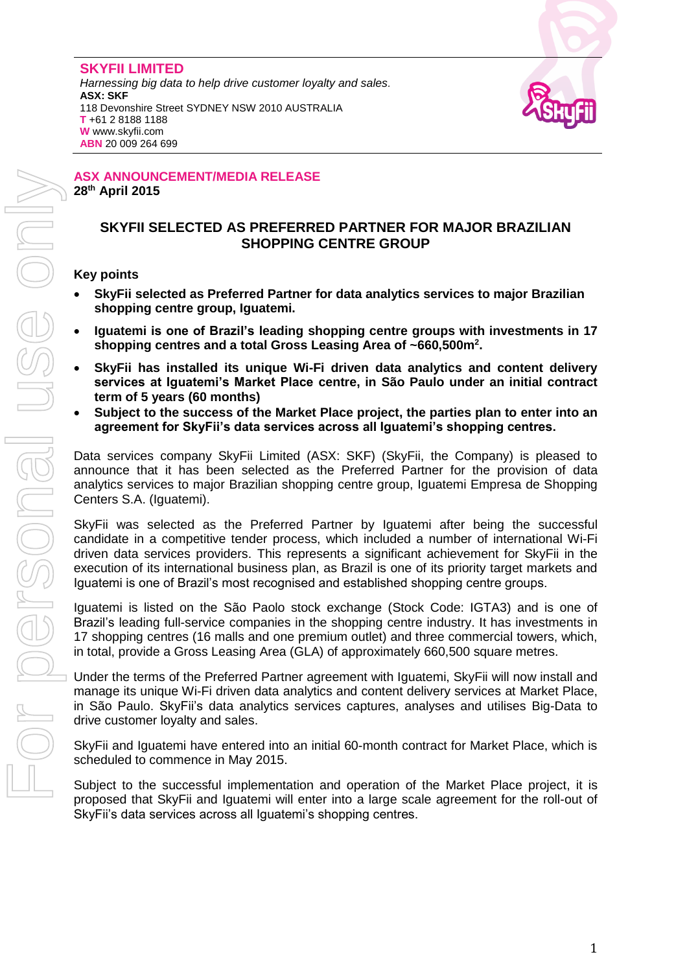#### **SKYFII LIMITED**

*Harnessing big data to help drive customer loyalty and sales.* **ASX: SKF** 118 Devonshire Street SYDNEY NSW 2010 AUSTRALIA **T** +61 2 8188 1188 **W** www.skyfii.com **ABN** 20 009 264 699



#### **ASX ANNOUNCEMENT/MEDIA RELEASE 28th April 2015**

# **SKYFII SELECTED AS PREFERRED PARTNER FOR MAJOR BRAZILIAN SHOPPING CENTRE GROUP**

# **Key points**

- **SkyFii selected as Preferred Partner for data analytics services to major Brazilian shopping centre group, Iguatemi.**
- **Iguatemi is one of Brazil's leading shopping centre groups with investments in 17 shopping centres and a total Gross Leasing Area of ~660,500m<sup>2</sup> .**
- **SkyFii has installed its unique Wi-Fi driven data analytics and content delivery services at Iguatemi's Market Place centre, in São Paulo under an initial contract term of 5 years (60 months)**
- **Subject to the success of the Market Place project, the parties plan to enter into an agreement for SkyFii's data services across all Iguatemi's shopping centres.**

Data services company SkyFii Limited (ASX: SKF) (SkyFii, the Company) is pleased to announce that it has been selected as the Preferred Partner for the provision of data analytics services to major Brazilian shopping centre group, Iguatemi Empresa de Shopping Centers S.A. (Iguatemi).

SkyFii was selected as the Preferred Partner by Iguatemi after being the successful candidate in a competitive tender process, which included a number of international Wi-Fi driven data services providers. This represents a significant achievement for SkyFii in the execution of its international business plan, as Brazil is one of its priority target markets and Iguatemi is one of Brazil's most recognised and established shopping centre groups.

Iguatemi is listed on the São Paolo stock exchange (Stock Code: IGTA3) and is one of Brazil's leading full-service companies in the shopping centre industry. It has investments in 17 shopping centres (16 malls and one premium outlet) and three commercial towers, which, in total, provide a Gross Leasing Area (GLA) of approximately 660,500 square metres.

Under the terms of the Preferred Partner agreement with Iguatemi, SkyFii will now install and manage its unique Wi-Fi driven data analytics and content delivery services at Market Place, in São Paulo. SkyFii's data analytics services captures, analyses and utilises Big-Data to drive customer loyalty and sales.

SkyFii and Iguatemi have entered into an initial 60-month contract for Market Place, which is scheduled to commence in May 2015.

Subject to the successful implementation and operation of the Market Place project, it is proposed that SkyFii and Iguatemi will enter into a large scale agreement for the roll-out of SkyFii's data services across all Iguatemi's shopping centres.